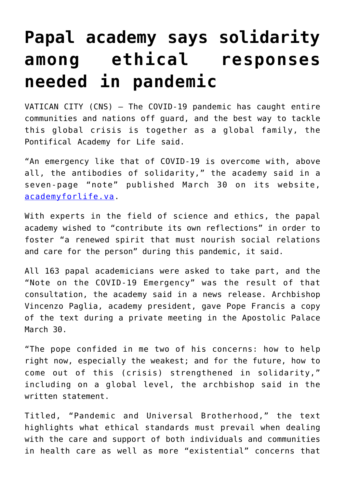## **[Papal academy says solidarity](https://www.osvnews.com/2020/03/31/papal-academy-says-solidarity-among-ethical-responses-needed-in-pandemic/) [among ethical responses](https://www.osvnews.com/2020/03/31/papal-academy-says-solidarity-among-ethical-responses-needed-in-pandemic/) [needed in pandemic](https://www.osvnews.com/2020/03/31/papal-academy-says-solidarity-among-ethical-responses-needed-in-pandemic/)**

VATICAN CITY (CNS) — The COVID-19 pandemic has caught entire communities and nations off guard, and the best way to tackle this global crisis is together as a global family, the Pontifical Academy for Life said.

"An emergency like that of COVID-19 is overcome with, above all, the antibodies of solidarity," the academy said in a seven-page "note" published March 30 on its website, [academyforlife.va.](http://academyforlife.va)

With experts in the field of science and ethics, the papal academy wished to "contribute its own reflections" in order to foster "a renewed spirit that must nourish social relations and care for the person" during this pandemic, it said.

All 163 papal academicians were asked to take part, and the "Note on the COVID-19 Emergency" was the result of that consultation, the academy said in a news release. Archbishop Vincenzo Paglia, academy president, gave Pope Francis a copy of the text during a private meeting in the Apostolic Palace March 30.

"The pope confided in me two of his concerns: how to help right now, especially the weakest; and for the future, how to come out of this (crisis) strengthened in solidarity," including on a global level, the archbishop said in the written statement.

Titled, "Pandemic and Universal Brotherhood," the text highlights what ethical standards must prevail when dealing with the care and support of both individuals and communities in health care as well as more "existential" concerns that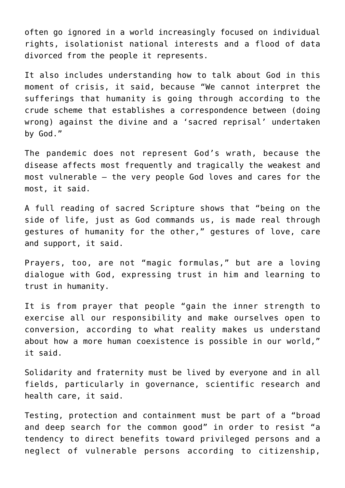often go ignored in a world increasingly focused on individual rights, isolationist national interests and a flood of data divorced from the people it represents.

It also includes understanding how to talk about God in this moment of crisis, it said, because "We cannot interpret the sufferings that humanity is going through according to the crude scheme that establishes a correspondence between (doing wrong) against the divine and a 'sacred reprisal' undertaken by God."

The pandemic does not represent God's wrath, because the disease affects most frequently and tragically the weakest and most vulnerable — the very people God loves and cares for the most, it said.

A full reading of sacred Scripture shows that "being on the side of life, just as God commands us, is made real through gestures of humanity for the other," gestures of love, care and support, it said.

Prayers, too, are not "magic formulas," but are a loving dialogue with God, expressing trust in him and learning to trust in humanity.

It is from prayer that people "gain the inner strength to exercise all our responsibility and make ourselves open to conversion, according to what reality makes us understand about how a more human coexistence is possible in our world," it said.

Solidarity and fraternity must be lived by everyone and in all fields, particularly in governance, scientific research and health care, it said.

Testing, protection and containment must be part of a "broad and deep search for the common good" in order to resist "a tendency to direct benefits toward privileged persons and a neglect of vulnerable persons according to citizenship,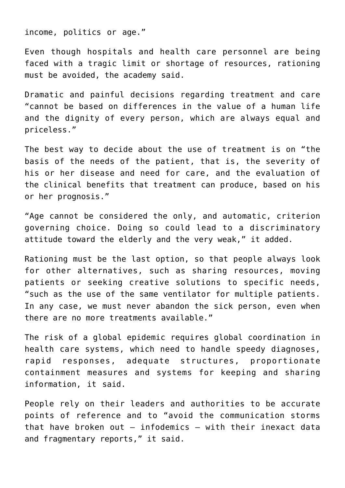income, politics or age."

Even though hospitals and health care personnel are being faced with a tragic limit or shortage of resources, rationing must be avoided, the academy said.

Dramatic and painful decisions regarding treatment and care "cannot be based on differences in the value of a human life and the dignity of every person, which are always equal and priceless."

The best way to decide about the use of treatment is on "the basis of the needs of the patient, that is, the severity of his or her disease and need for care, and the evaluation of the clinical benefits that treatment can produce, based on his or her prognosis."

"Age cannot be considered the only, and automatic, criterion governing choice. Doing so could lead to a discriminatory attitude toward the elderly and the very weak," it added.

Rationing must be the last option, so that people always look for other alternatives, such as sharing resources, moving patients or seeking creative solutions to specific needs, "such as the use of the same ventilator for multiple patients. In any case, we must never abandon the sick person, even when there are no more treatments available."

The risk of a global epidemic requires global coordination in health care systems, which need to handle speedy diagnoses, rapid responses, adequate structures, proportionate containment measures and systems for keeping and sharing information, it said.

People rely on their leaders and authorities to be accurate points of reference and to "avoid the communication storms that have broken out — infodemics — with their inexact data and fragmentary reports," it said.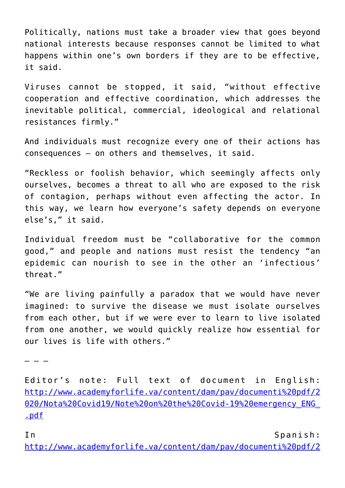Politically, nations must take a broader view that goes beyond national interests because responses cannot be limited to what happens within one's own borders if they are to be effective, it said.

Viruses cannot be stopped, it said, "without effective cooperation and effective coordination, which addresses the inevitable political, commercial, ideological and relational resistances firmly."

And individuals must recognize every one of their actions has consequences — on others and themselves, it said.

"Reckless or foolish behavior, which seemingly affects only ourselves, becomes a threat to all who are exposed to the risk of contagion, perhaps without even affecting the actor. In this way, we learn how everyone's safety depends on everyone else's," it said.

Individual freedom must be "collaborative for the common good," and people and nations must resist the tendency "an epidemic can nourish to see in the other an 'infectious' threat."

"We are living painfully a paradox that we would have never imagined: to survive the disease we must isolate ourselves from each other, but if we were ever to learn to live isolated from one another, we would quickly realize how essential for our lives is life with others."

– – –

Editor's note: Full text of document in English: [http://www.academyforlife.va/content/dam/pav/documenti%20pdf/2](http://www.academyforlife.va/content/dam/pav/documenti%20pdf/2020/Nota%20Covid19/Note%20on%20the%20Covid-19%20emergency_ENG_.pdf) [020/Nota%20Covid19/Note%20on%20the%20Covid-19%20emergency\\_ENG\\_](http://www.academyforlife.va/content/dam/pav/documenti%20pdf/2020/Nota%20Covid19/Note%20on%20the%20Covid-19%20emergency_ENG_.pdf) [.pdf](http://www.academyforlife.va/content/dam/pav/documenti%20pdf/2020/Nota%20Covid19/Note%20on%20the%20Covid-19%20emergency_ENG_.pdf)

In Spanish:

[http://www.academyforlife.va/content/dam/pav/documenti%20pdf/2](http://www.academyforlife.va/content/dam/pav/documenti%20pdf/2020/Nota%20Covid19/Nota%20sobre%20la%20emergencia%20Covid-19_ESP_.pdf)